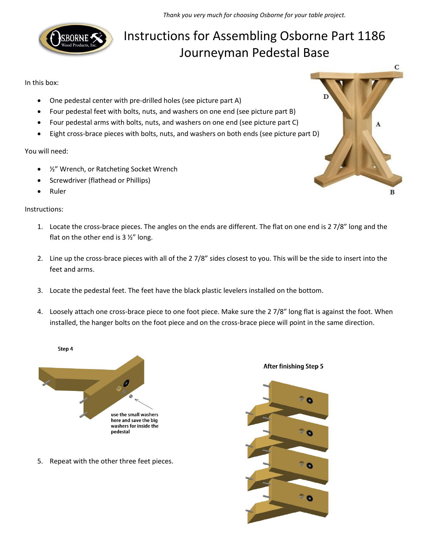

## Instructions for Assembling Osborne Part 1186 Journeyman Pedestal Base

In this box:

- One pedestal center with pre-drilled holes (see picture part A)
- Four pedestal feet with bolts, nuts, and washers on one end (see picture part B)
- Four pedestal arms with bolts, nuts, and washers on one end (see picture part C)
- Eight cross-brace pieces with bolts, nuts, and washers on both ends (see picture part D)

You will need:

- ½" Wrench, or Ratcheting Socket Wrench
- Screwdriver (flathead or Phillips)
- Ruler

Instructions:

- 1. Locate the cross-brace pieces. The angles on the ends are different. The flat on one end is 2 7/8" long and the flat on the other end is  $3\frac{1}{2}$ " long.
- 2. Line up the cross-brace pieces with all of the 2 7/8" sides closest to you. This will be the side to insert into the feet and arms.
- 3. Locate the pedestal feet. The feet have the black plastic levelers installed on the bottom.
- 4. Loosely attach one cross-brace piece to one foot piece. Make sure the 2 7/8" long flat is against the foot. When installed, the hanger bolts on the foot piece and on the cross-brace piece will point in the same direction.



5. Repeat with the other three feet pieces.

**After finishing Step 5**